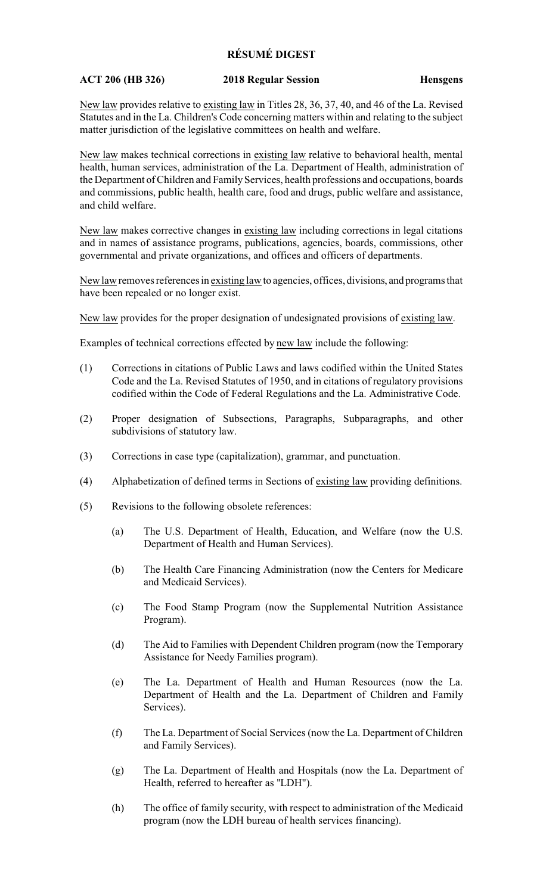## **RÉSUMÉ DIGEST**

## **ACT 206 (HB 326) 2018 Regular Session Hensgens**

New law provides relative to existing law in Titles 28, 36, 37, 40, and 46 of the La. Revised Statutes and in the La. Children's Code concerning matters within and relating to the subject matter jurisdiction of the legislative committees on health and welfare.

New law makes technical corrections in existing law relative to behavioral health, mental health, human services, administration of the La. Department of Health, administration of the Department of Children and Family Services, health professions and occupations, boards and commissions, public health, health care, food and drugs, public welfare and assistance, and child welfare.

New law makes corrective changes in existing law including corrections in legal citations and in names of assistance programs, publications, agencies, boards, commissions, other governmental and private organizations, and offices and officers of departments.

New law removes references in existing law to agencies, offices, divisions, and programs that have been repealed or no longer exist.

New law provides for the proper designation of undesignated provisions of existing law.

Examples of technical corrections effected by new law include the following:

- (1) Corrections in citations of Public Laws and laws codified within the United States Code and the La. Revised Statutes of 1950, and in citations of regulatory provisions codified within the Code of Federal Regulations and the La. Administrative Code.
- (2) Proper designation of Subsections, Paragraphs, Subparagraphs, and other subdivisions of statutory law.
- (3) Corrections in case type (capitalization), grammar, and punctuation.
- (4) Alphabetization of defined terms in Sections of existing law providing definitions.
- (5) Revisions to the following obsolete references:
	- (a) The U.S. Department of Health, Education, and Welfare (now the U.S. Department of Health and Human Services).
	- (b) The Health Care Financing Administration (now the Centers for Medicare and Medicaid Services).
	- (c) The Food Stamp Program (now the Supplemental Nutrition Assistance Program).
	- (d) The Aid to Families with Dependent Children program (now the Temporary Assistance for Needy Families program).
	- (e) The La. Department of Health and Human Resources (now the La. Department of Health and the La. Department of Children and Family Services).
	- (f) The La. Department of Social Services (now the La. Department of Children and Family Services).
	- (g) The La. Department of Health and Hospitals (now the La. Department of Health, referred to hereafter as "LDH").
	- (h) The office of family security, with respect to administration of the Medicaid program (now the LDH bureau of health services financing).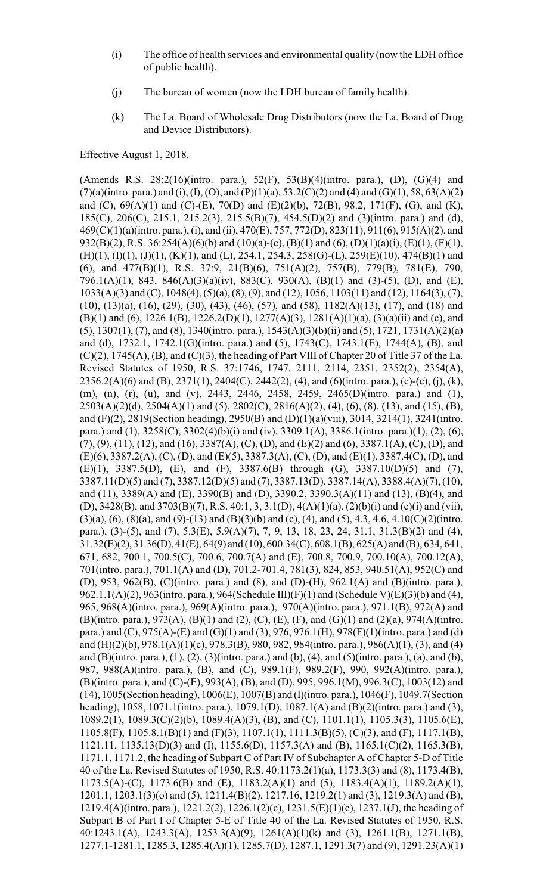- (i) The office of health services and environmental quality (now the LDH office of public health).
- (j) The bureau of women (now the LDH bureau of family health).
- (k) The La. Board of Wholesale Drug Distributors (now the La. Board of Drug and Device Distributors).

Effective August 1, 2018.

(Amends R.S. 28:2(16)(intro. para.), 52(F), 53(B)(4)(intro. para.), (D), (G)(4) and  $(7)(a)$ (intro. para.) and (i), (I), (O), and (P)(1)(a), 53.2(C)(2) and (4) and (G)(1), 58, 63(A)(2) and (C),  $69(A)(1)$  and (C)-(E),  $70(D)$  and (E)(2)(b),  $72(B)$ ,  $98.2$ ,  $171(F)$ , (G), and (K), 185(C), 206(C), 215.1, 215.2(3), 215.5(B)(7), 454.5(D)(2) and (3)(intro. para.) and (d), 469(C)(1)(a)(intro. para.), (i), and (ii), 470(E), 757, 772(D), 823(11), 911(6), 915(A)(2), and 932(B)(2), R.S. 36:254(A)(6)(b) and (10)(a)-(e), (B)(1) and (6), (D)(1)(a)(i), (E)(1), (F)(1),  $(H)(1)$ ,  $(I)(1)$ ,  $(J)(1)$ ,  $(K)(1)$ , and  $(L)$ , 254.1, 254.3, 258 $(G)-(L)$ , 259 $(E)(10)$ , 474 $(B)(1)$  and (6), and 477(B)(1), R.S. 37:9, 21(B)(6), 751(A)(2), 757(B), 779(B), 781(E), 790, 796.1(A)(1), 843, 846(A)(3)(a)(iv), 883(C), 930(A), (B)(1) and (3)-(5), (D), and (E), 1033(A)(3) and (C), 1048(4), (5)(a), (8), (9), and (12), 1056, 1103(11) and (12), 1164(3), (7), (10), (13)(a), (16), (29), (30), (43), (46), (57), and (58), 1182(A)(13), (17), and (18) and (B)(1) and (6), 1226.1(B), 1226.2(D)(1), 1277(A)(3), 1281(A)(1)(a), (3)(a)(ii) and (c), and (5), 1307(1), (7), and (8), 1340(intro. para.), 1543(A)(3)(b)(ii) and (5), 1721, 1731(A)(2)(a) and (d), 1732.1, 1742.1(G)(intro. para.) and (5), 1743(C), 1743.1(E), 1744(A), (B), and  $(C)(2)$ , 1745(A), (B), and  $(C)(3)$ , the heading of Part VIII of Chapter 20 of Title 37 of the La. Revised Statutes of 1950, R.S. 37:1746, 1747, 2111, 2114, 2351, 2352(2), 2354(A),  $2356.2(A)(6)$  and (B),  $2371(1)$ ,  $2404(C)$ ,  $2442(2)$ , (4), and (6)(intro. para.), (c)-(e), (j), (k), (m), (n), (r), (u), and (v), 2443, 2446, 2458, 2459, 2465(D)(intro. para.) and (1), 2503(A)(2)(d), 2504(A)(1) and (5), 2802(C), 2816(A)(2), (4), (6), (8), (13), and (15), (B), and (F)(2), 2819(Section heading), 2950(B) and (D)(1)(a)(viii), 3014, 3214(1), 3241(intro. para.) and (1), 3258(C), 3302(4)(b)(i) and (iv), 3309.1(A), 3386.1(intro. para.)(1), (2), (6), (7), (9), (11), (12), and (16), 3387(A), (C), (D), and (E)(2) and (6), 3387.1(A), (C), (D), and (E)(6), 3387.2(A), (C), (D), and (E)(5), 3387.3(A), (C), (D), and (E)(1), 3387.4(C), (D), and (E)(1), 3387.5(D), (E), and (F), 3387.6(B) through (G), 3387.10(D)(5) and (7), 3387.11(D)(5) and (7), 3387.12(D)(5) and (7), 3387.13(D), 3387.14(A), 3388.4(A)(7), (10), and (11), 3389(A) and (E), 3390(B) and (D), 3390.2, 3390.3(A)(11) and (13), (B)(4), and (D), 3428(B), and 3703(B)(7), R.S. 40:1, 3, 3.1(D), 4(A)(1)(a), (2)(b)(i) and (c)(i) and (vii),  $(3)(a)$ ,  $(6)$ ,  $(8)(a)$ , and  $(9)-(13)$  and  $(B)(3)(b)$  and  $(c)$ ,  $(4)$ , and  $(5)$ , 4.3, 4.6, 4.10 $(C)(2)($ intro. para.), (3)-(5), and (7), 5.3(E), 5.9(A)(7), 7, 9, 13, 18, 23, 24, 31.1, 31.3(B)(2) and (4), 31.32(E)(2), 31.36(D), 41(E), 64(9) and (10), 600.34(C), 608.1(B), 625(A) and (B), 634, 641, 671, 682, 700.1, 700.5(C), 700.6, 700.7(A) and (E), 700.8, 700.9, 700.10(A), 700.12(A), 701(intro. para.), 701.1(A) and (D), 701.2-701.4, 781(3), 824, 853, 940.51(A), 952(C) and (D), 953, 962(B), (C)(intro. para.) and (8), and (D)-(H), 962.1(A) and (B)(intro. para.), 962.1.1(A)(2), 963(intro. para.), 964(Schedule III)(F)(1) and (Schedule V)(E)(3)(b) and (4), 965, 968(A)(intro. para.), 969(A)(intro. para.), 970(A)(intro. para.), 971.1(B), 972(A) and (B)(intro. para.), 973(A), (B)(1) and (2), (C), (E), (F), and (G)(1) and (2)(a), 974(A)(intro. para.) and (C), 975(A)-(E) and (G)(1) and (3), 976, 976.1(H), 978(F)(1)(intro. para.) and (d) and (H)(2)(b), 978.1(A)(1)(c), 978.3(B), 980, 982, 984(intro. para.), 986(A)(1), (3), and (4) and (B)(intro. para.), (1), (2), (3)(intro. para.) and (b), (4), and (5)(intro. para.), (a), and (b), 987, 988(A)(intro. para.), (B), and (C), 989.1(F), 989.2(F), 990, 992(A)(intro. para.), (B)(intro. para.), and (C)-(E), 993(A), (B), and (D), 995, 996.1(M), 996.3(C), 1003(12) and (14), 1005(Section heading), 1006(E), 1007(B) and (I)(intro. para.), 1046(F), 1049.7(Section heading), 1058, 1071.1(intro. para.), 1079.1(D), 1087.1(A) and (B)(2)(intro. para.) and (3), 1089.2(1), 1089.3(C)(2)(b), 1089.4(A)(3), (B), and (C), 1101.1(1), 1105.3(3), 1105.6(E), 1105.8(F), 1105.8.1(B)(1) and (F)(3), 1107.1(1), 1111.3(B)(5), (C)(3), and (F), 1117.1(B), 1121.11, 1135.13(D)(3) and (I), 1155.6(D), 1157.3(A) and (B), 1165.1(C)(2), 1165.3(B), 1171.1, 1171.2, the heading of Subpart C of Part IV of Subchapter A of Chapter 5-D of Title 40 of the La. Revised Statutes of 1950, R.S. 40:1173.2(1)(a), 1173.3(3) and (8), 1173.4(B), 1173.5(A)-(C), 1173.6(B) and (E), 1183.2(A)(1) and (5), 1183.4(A)(1), 1189.2(A)(1), 1201.1, 1203.1(3)(o) and (5), 1211.4(B)(2), 1217.16, 1219.2(1) and (3), 1219.3(A) and (B), 1219.4(A)(intro. para.), 1221.2(2), 1226.1(2)(c), 1231.5(E)(1)(c), 1237.1(J), the heading of Subpart B of Part I of Chapter 5-E of Title 40 of the La. Revised Statutes of 1950, R.S. 40:1243.1(A), 1243.3(A), 1253.3(A)(9), 1261(A)(1)(k) and (3), 1261.1(B), 1271.1(B), 1277.1-1281.1, 1285.3, 1285.4(A)(1), 1285.7(D), 1287.1, 1291.3(7) and (9), 1291.23(A)(1)